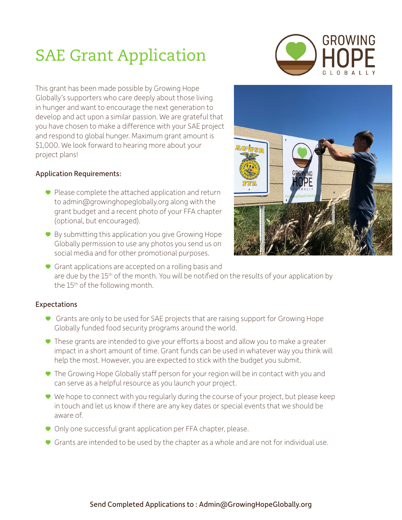## SAE Grant Application



This grant has been made possible by Growing Hope Globally's supporters who care deeply about those living in hunger and want to encourage the next generation to develop and act upon a similar passion. We are grateful that you have chosen to make a difference with your SAE project and respond to global hunger. Maximum grant amount is \$1,000. We look forward to hearing more about your project plans!

## Application Requirements:

- Please complete the attached application and return to admin@growinghopeglobally.org along with the grant budget and a recent photo of your FFA chapter (optional, but encouraged).
- By submitting this application you give Growing Hope Globally permission to use any photos you send us on social media and for other promotional purposes.



• Grant applications are accepted on a rolling basis and are due by the 15<sup>th</sup> of the month. You will be notified on the results of your application by the 15<sup>th</sup> of the following month.

## Expectations

- Grants are only to be used for SAE projects that are raising support for Growing Hope Globally funded food security programs around the world.
- These grants are intended to give your efforts a boost and allow you to make a greater impact in a short amount of time. Grant funds can be used in whatever way you think will help the most. However, you are expected to stick with the budget you submit.
- The Growing Hope Globally staff person for your region will be in contact with you and can serve as a helpful resource as you launch your project.
- We hope to connect with you regularly during the course of your project, but please keep in touch and let us know if there are any key dates or special events that we should be aware of.
- Only one successful grant application per FFA chapter, please.
- Grants are intended to be used by the chapter as a whole and are not for individual use.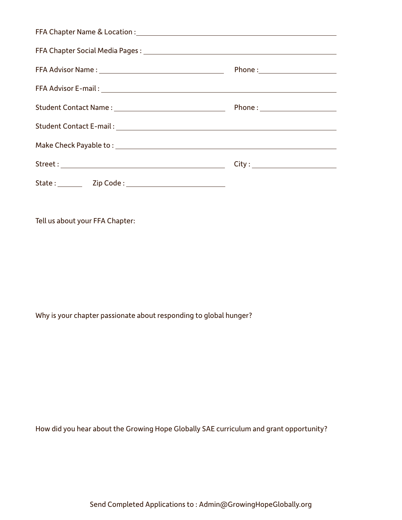| Make Check Payable to: National Communication of the Check Payable to: |  |
|------------------------------------------------------------------------|--|
|                                                                        |  |
|                                                                        |  |

Tell us about your FFA Chapter:

Why is your chapter passionate about responding to global hunger?

How did you hear about the Growing Hope Globally SAE curriculum and grant opportunity?